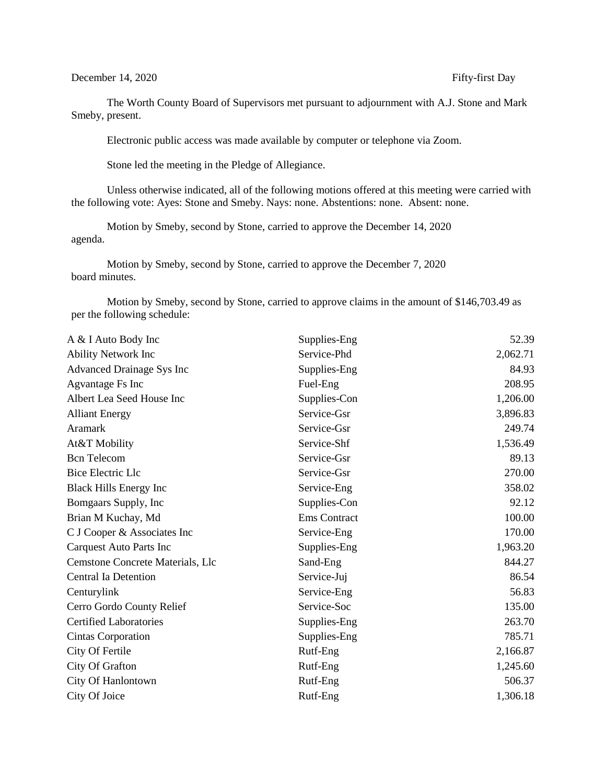December 14, 2020 Fifty-first Day

The Worth County Board of Supervisors met pursuant to adjournment with A.J. Stone and Mark Smeby, present.

Electronic public access was made available by computer or telephone via Zoom.

Stone led the meeting in the Pledge of Allegiance.

Unless otherwise indicated, all of the following motions offered at this meeting were carried with the following vote: Ayes: Stone and Smeby. Nays: none. Abstentions: none. Absent: none.

Motion by Smeby, second by Stone, carried to approve the December 14, 2020 agenda.

Motion by Smeby, second by Stone, carried to approve the December 7, 2020 board minutes.

Motion by Smeby, second by Stone, carried to approve claims in the amount of \$146,703.49 as per the following schedule:

| A & I Auto Body Inc              | Supplies-Eng        | 52.39    |
|----------------------------------|---------------------|----------|
| Ability Network Inc              | Service-Phd         | 2,062.71 |
| Advanced Drainage Sys Inc        | Supplies-Eng        | 84.93    |
| Agvantage Fs Inc                 | Fuel-Eng            | 208.95   |
| Albert Lea Seed House Inc        | Supplies-Con        | 1,206.00 |
| <b>Alliant Energy</b>            | Service-Gsr         | 3,896.83 |
| Aramark                          | Service-Gsr         | 249.74   |
| At&T Mobility                    | Service-Shf         | 1,536.49 |
| <b>Bcn</b> Telecom               | Service-Gsr         | 89.13    |
| <b>Bice Electric Llc</b>         | Service-Gsr         | 270.00   |
| <b>Black Hills Energy Inc</b>    | Service-Eng         | 358.02   |
| Bomgaars Supply, Inc             | Supplies-Con        | 92.12    |
| Brian M Kuchay, Md               | <b>Ems</b> Contract | 100.00   |
| C J Cooper & Associates Inc      | Service-Eng         | 170.00   |
| Carquest Auto Parts Inc          | Supplies-Eng        | 1,963.20 |
| Cemstone Concrete Materials, Llc | Sand-Eng            | 844.27   |
| <b>Central Ia Detention</b>      | Service-Juj         | 86.54    |
| Centurylink                      | Service-Eng         | 56.83    |
| Cerro Gordo County Relief        | Service-Soc         | 135.00   |
| <b>Certified Laboratories</b>    | Supplies-Eng        | 263.70   |
| Cintas Corporation               | Supplies-Eng        | 785.71   |
| City Of Fertile                  | Rutf-Eng            | 2,166.87 |
| City Of Grafton                  | Rutf-Eng            | 1,245.60 |
| City Of Hanlontown               | Rutf-Eng            | 506.37   |
| City Of Joice                    | Rutf-Eng            | 1,306.18 |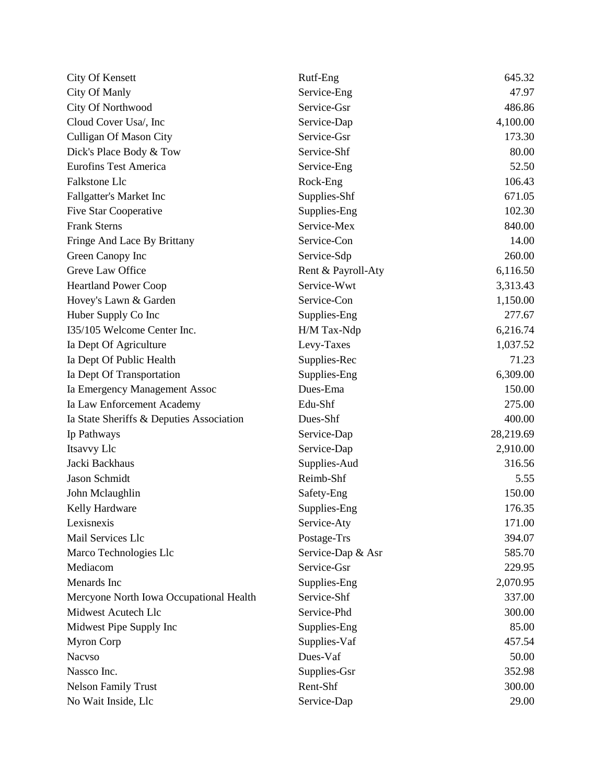| City Of Kensett                          | Rutf-Eng           | 645.32    |
|------------------------------------------|--------------------|-----------|
| City Of Manly                            | Service-Eng        | 47.97     |
| City Of Northwood                        | Service-Gsr        | 486.86    |
| Cloud Cover Usa/, Inc                    | Service-Dap        | 4,100.00  |
| <b>Culligan Of Mason City</b>            | Service-Gsr        | 173.30    |
| Dick's Place Body & Tow                  | Service-Shf        | 80.00     |
| <b>Eurofins Test America</b>             | Service-Eng        | 52.50     |
| Falkstone Llc                            | Rock-Eng           | 106.43    |
| Fallgatter's Market Inc                  | Supplies-Shf       | 671.05    |
| <b>Five Star Cooperative</b>             | Supplies-Eng       | 102.30    |
| <b>Frank Sterns</b>                      | Service-Mex        | 840.00    |
| Fringe And Lace By Brittany              | Service-Con        | 14.00     |
| Green Canopy Inc                         | Service-Sdp        | 260.00    |
| Greve Law Office                         | Rent & Payroll-Aty | 6,116.50  |
| <b>Heartland Power Coop</b>              | Service-Wwt        | 3,313.43  |
| Hovey's Lawn & Garden                    | Service-Con        | 1,150.00  |
| Huber Supply Co Inc                      | Supplies-Eng       | 277.67    |
| I35/105 Welcome Center Inc.              | H/M Tax-Ndp        | 6,216.74  |
| Ia Dept Of Agriculture                   | Levy-Taxes         | 1,037.52  |
| Ia Dept Of Public Health                 | Supplies-Rec       | 71.23     |
| Ia Dept Of Transportation                | Supplies-Eng       | 6,309.00  |
| Ia Emergency Management Assoc            | Dues-Ema           | 150.00    |
| Ia Law Enforcement Academy               | Edu-Shf            | 275.00    |
| Ia State Sheriffs & Deputies Association | Dues-Shf           | 400.00    |
| Ip Pathways                              | Service-Dap        | 28,219.69 |
| Itsavvy Llc                              | Service-Dap        | 2,910.00  |
| Jacki Backhaus                           | Supplies-Aud       | 316.56    |
| Jason Schmidt                            | Reimb-Shf          | 5.55      |
| John Mclaughlin                          | Safety-Eng         | 150.00    |
| Kelly Hardware                           | Supplies-Eng       | 176.35    |
| Lexisnexis                               | Service-Aty        | 171.00    |
| Mail Services Llc                        | Postage-Trs        | 394.07    |
| Marco Technologies Llc                   | Service-Dap & Asr  | 585.70    |
| Mediacom                                 | Service-Gsr        | 229.95    |
| Menards Inc                              | Supplies-Eng       | 2,070.95  |
| Mercyone North Iowa Occupational Health  | Service-Shf        | 337.00    |
| Midwest Acutech Llc                      | Service-Phd        | 300.00    |
| Midwest Pipe Supply Inc                  | Supplies-Eng       | 85.00     |
| <b>Myron Corp</b>                        | Supplies-Vaf       | 457.54    |
| <b>Nacvso</b>                            | Dues-Vaf           | 50.00     |
| Nassco Inc.                              | Supplies-Gsr       | 352.98    |
| <b>Nelson Family Trust</b>               | Rent-Shf           | 300.00    |
| No Wait Inside, Llc                      | Service-Dap        | 29.00     |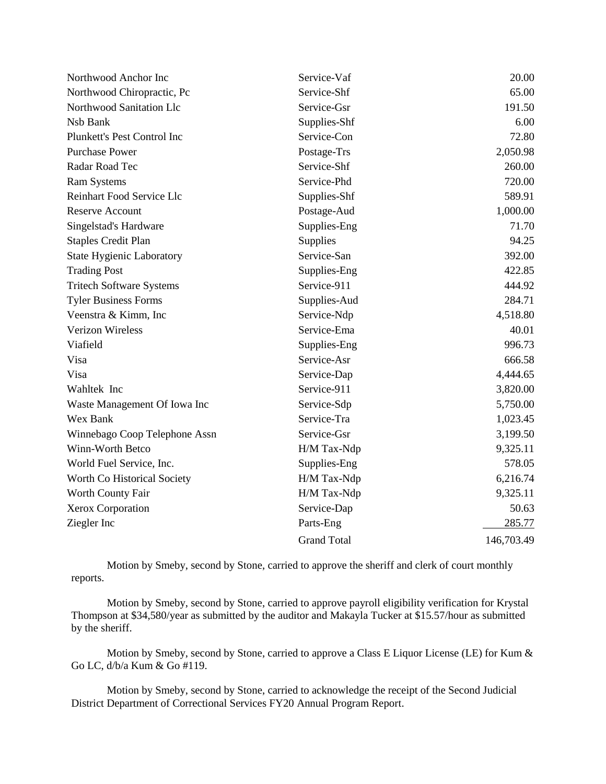| Northwood Anchor Inc             | Service-Vaf        | 20.00      |
|----------------------------------|--------------------|------------|
| Northwood Chiropractic, Pc       | Service-Shf        | 65.00      |
| Northwood Sanitation Llc         | Service-Gsr        | 191.50     |
| Nsb Bank                         | Supplies-Shf       | 6.00       |
| Plunkett's Pest Control Inc      | Service-Con        | 72.80      |
| <b>Purchase Power</b>            | Postage-Trs        | 2,050.98   |
| Radar Road Tec                   | Service-Shf        | 260.00     |
| <b>Ram Systems</b>               | Service-Phd        | 720.00     |
| Reinhart Food Service Llc        | Supplies-Shf       | 589.91     |
| <b>Reserve Account</b>           | Postage-Aud        | 1,000.00   |
| Singelstad's Hardware            | Supplies-Eng       | 71.70      |
| <b>Staples Credit Plan</b>       | Supplies           | 94.25      |
| <b>State Hygienic Laboratory</b> | Service-San        | 392.00     |
| <b>Trading Post</b>              | Supplies-Eng       | 422.85     |
| <b>Tritech Software Systems</b>  | Service-911        | 444.92     |
| <b>Tyler Business Forms</b>      | Supplies-Aud       | 284.71     |
| Veenstra & Kimm, Inc             | Service-Ndp        | 4,518.80   |
| <b>Verizon Wireless</b>          | Service-Ema        | 40.01      |
| Viafield                         | Supplies-Eng       | 996.73     |
| Visa                             | Service-Asr        | 666.58     |
| Visa                             | Service-Dap        | 4,444.65   |
| Wahltek Inc                      | Service-911        | 3,820.00   |
| Waste Management Of Iowa Inc     | Service-Sdp        | 5,750.00   |
| Wex Bank                         | Service-Tra        | 1,023.45   |
| Winnebago Coop Telephone Assn    | Service-Gsr        | 3,199.50   |
| Winn-Worth Betco                 | H/M Tax-Ndp        | 9,325.11   |
| World Fuel Service, Inc.         | Supplies-Eng       | 578.05     |
| Worth Co Historical Society      | H/M Tax-Ndp        | 6,216.74   |
| Worth County Fair                | H/M Tax-Ndp        | 9,325.11   |
| Xerox Corporation                | Service-Dap        | 50.63      |
| Ziegler Inc                      | Parts-Eng          | 285.77     |
|                                  | <b>Grand Total</b> | 146,703.49 |

Motion by Smeby, second by Stone, carried to approve the sheriff and clerk of court monthly reports.

Motion by Smeby, second by Stone, carried to approve payroll eligibility verification for Krystal Thompson at \$34,580/year as submitted by the auditor and Makayla Tucker at \$15.57/hour as submitted by the sheriff.

Motion by Smeby, second by Stone, carried to approve a Class E Liquor License (LE) for Kum & Go LC, d/b/a Kum & Go #119.

Motion by Smeby, second by Stone, carried to acknowledge the receipt of the Second Judicial District Department of Correctional Services FY20 Annual Program Report.